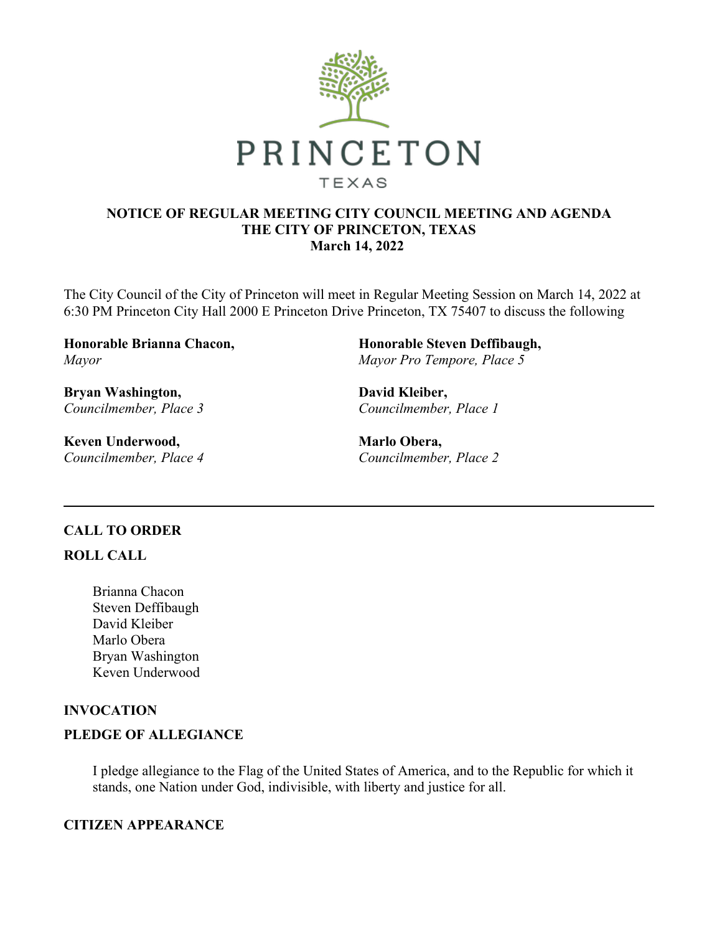

### **NOTICE OF REGULAR MEETING CITY COUNCIL MEETING AND AGENDA THE CITY OF PRINCETON, TEXAS March 14, 2022**

The City Council of the City of Princeton will meet in Regular Meeting Session on March 14, 2022 at 6:30 PM Princeton City Hall 2000 E Princeton Drive Princeton, TX 75407 to discuss the following

**Honorable Brianna Chacon,**  *Mayor*

**Bryan Washington,**  *Councilmember, Place 3*

**Keven Underwood,**  *Councilmember, Place 4* **Honorable Steven Deffibaugh,**  *Mayor Pro Tempore, Place 5*

**David Kleiber,**  *Councilmember, Place 1*

**Marlo Obera,**  *Councilmember, Place 2*

### **CALL TO ORDER**

### **ROLL CALL**

Brianna Chacon Steven Deffibaugh David Kleiber Marlo Obera Bryan Washington Keven Underwood

# **INVOCATION**

# **PLEDGE OF ALLEGIANCE**

I pledge allegiance to the Flag of the United States of America, and to the Republic for which it stands, one Nation under God, indivisible, with liberty and justice for all.

# **CITIZEN APPEARANCE**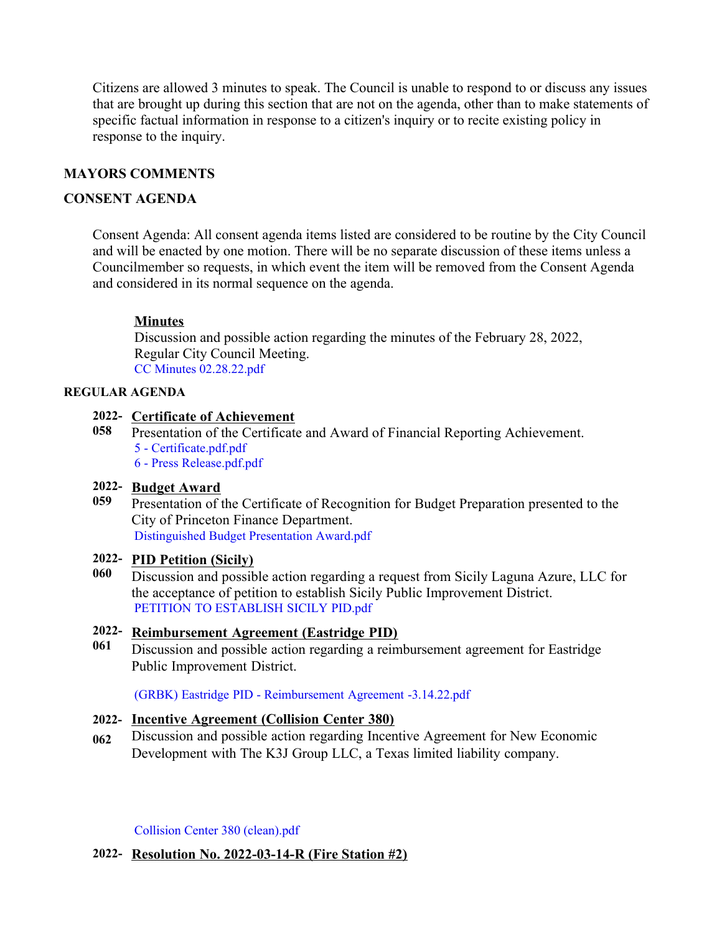Citizens are allowed 3 minutes to speak. The Council is unable to respond to or discuss any issues that are brought up during this section that are not on the agenda, other than to make statements of specific factual information in response to a citizen's inquiry or to recite existing policy in response to the inquiry.

# **MAYORS COMMENTS**

### **CONSENT AGENDA**

Consent Agenda: All consent agenda items listed are considered to be routine by the City Council and will be enacted by one motion. There will be no separate discussion of these items unless a Councilmember so requests, in which event the item will be removed from the Consent Agenda and considered in its normal sequence on the agenda.

### **Minutes**

Discussion and possible action regarding the minutes of the February 28, 2022, Regular City Council Meeting. [CC Minutes 02.28.22.pdf](https://legistarweb-production.s3.amazonaws.com/uploads/attachment/pdf/1278826/CC_Minutes_02.28.22.pdf)

#### **REGULAR AGENDA**

#### **2022- Certificate of Achievement**

**058** Presentation of the Certificate and Award of Financial Reporting Achievement. [5 - Certificate.pdf.pdf](https://legistarweb-production.s3.amazonaws.com/uploads/attachment/pdf/1283642/5_-_Certificate.pdf.pdf) [6 - Press Release.pdf.pdf](https://legistarweb-production.s3.amazonaws.com/uploads/attachment/pdf/1283643/6_-_Press_Release.pdf.pdf)

#### **2022- Budget Award**

**059** Presentation of the Certificate of Recognition for Budget Preparation presented to the City of Princeton Finance Department. [Distinguished Budget Presentation Award.pdf](https://legistarweb-production.s3.amazonaws.com/uploads/attachment/pdf/1283730/Distinguished_Budget_Presentation_Award.pdf)

### **2022- PID Petition (Sicily)**

**060** Discussion and possible action regarding a request from Sicily Laguna Azure, LLC for the acceptance of petition to establish Sicily Public Improvement District. [PETITION TO ESTABLISH SICILY PID.pdf](https://legistarweb-production.s3.amazonaws.com/uploads/attachment/pdf/1278867/PETITION_TO_ESTABLISH_SICILY_PID.pdf)

### **2022- Reimbursement Agreement (Eastridge PID)**

**061** Discussion and possible action regarding a reimbursement agreement for Eastridge Public Improvement District.

[\(GRBK\) Eastridge PID - Reimbursement Agreement -3.14.22.pdf](https://legistarweb-production.s3.amazonaws.com/uploads/attachment/pdf/1283662/_GRBK__Eastridge_PID_-_Reimbursement_Agreement_-3.14.22.pdf)

### **2022- Incentive Agreement (Collision Center 380)**

**062** Discussion and possible action regarding Incentive Agreement for New Economic Development with The K3J Group LLC, a Texas limited liability company.

[Collision Center 380 \(clean\).pdf](https://legistarweb-production.s3.amazonaws.com/uploads/attachment/pdf/1281589/Collision_Center_380__clean_.pdf)

#### **2022- Resolution No. 2022-03-14-R (Fire Station #2)**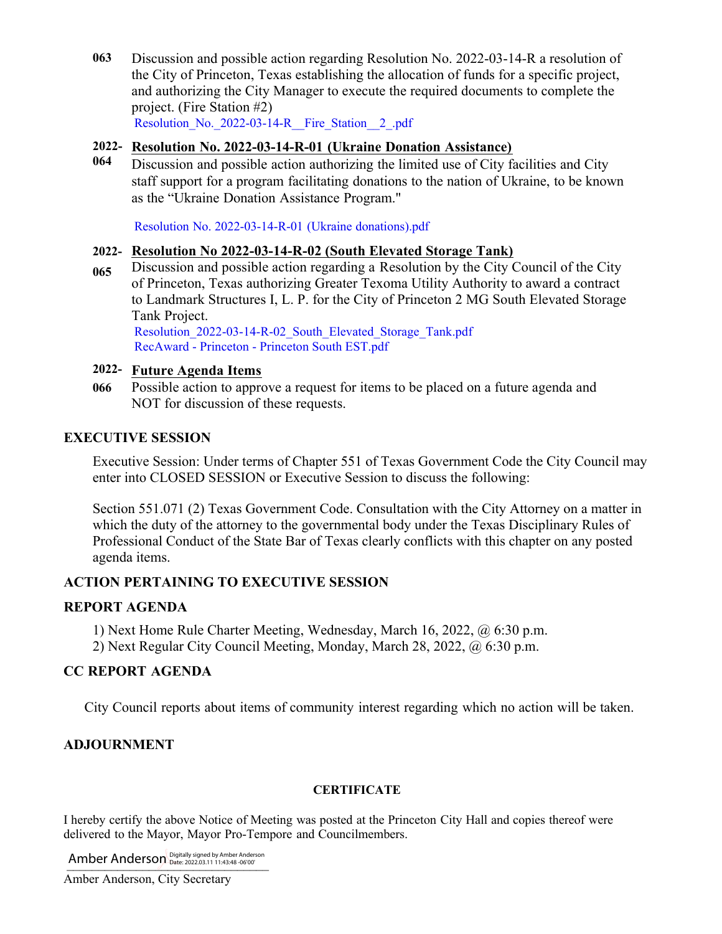**063** Discussion and possible action regarding Resolution No. 2022-03-14-R a resolution of the City of Princeton, Texas establishing the allocation of funds for a specific project, and authorizing the City Manager to execute the required documents to complete the project. (Fire Station #2) Resolution No. 2022-03-14-R Fire Station 2.pdf

### **2022- Resolution No. 2022-03-14-R-01 (Ukraine Donation Assistance)**

**064** Discussion and possible action authorizing the limited use of City facilities and City staff support for a program facilitating donations to the nation of Ukraine, to be known as the "Ukraine Donation Assistance Program."

[Resolution No. 2022-03-14-R-01 \(Ukraine donations\).pdf](https://legistarweb-production.s3.amazonaws.com/uploads/attachment/pdf/1283161/Resolution_No._2022-03-14-R-01__Ukraine_donations_.pdf)

### **2022- Resolution No 2022-03-14-R-02 (South Elevated Storage Tank)**

**065** Discussion and possible action regarding a Resolution by the City Council of the City of Princeton, Texas authorizing Greater Texoma Utility Authority to award a contract to Landmark Structures I, L. P. for the City of Princeton 2 MG South Elevated Storage Tank Project.

Resolution 2022-03-14-R-02 South Elevated Storage Tank.pdf [RecAward - Princeton - Princeton South EST.pdf](https://legistarweb-production.s3.amazonaws.com/uploads/attachment/pdf/1283129/RecAward_-_Princeton_-_Princeton_South_EST.pdf)

### **2022- Future Agenda Items**

**066** Possible action to approve a request for items to be placed on a future agenda and NOT for discussion of these requests.

## **EXECUTIVE SESSION**

Executive Session: Under terms of Chapter 551 of Texas Government Code the City Council may enter into CLOSED SESSION or Executive Session to discuss the following:

Section 551.071 (2) Texas Government Code. Consultation with the City Attorney on a matter in which the duty of the attorney to the governmental body under the Texas Disciplinary Rules of Professional Conduct of the State Bar of Texas clearly conflicts with this chapter on any posted agenda items.

# **ACTION PERTAINING TO EXECUTIVE SESSION**

## **REPORT AGENDA**

- 1) Next Home Rule Charter Meeting, Wednesday, March 16, 2022, @ 6:30 p.m.
- 2) Next Regular City Council Meeting, Monday, March 28, 2022, @ 6:30 p.m.

# **CC REPORT AGENDA**

City Council reports about items of community interest regarding which no action will be taken.

# **ADJOURNMENT**

#### **CERTIFICATE**

I hereby certify the above Notice of Meeting was posted at the Princeton City Hall and copies thereof were delivered to the Mayor, Mayor Pro-Tempore and Councilmembers.

Amber Anderson Digitally signed by Amber Anderson

Amber Anderson, City Secretary